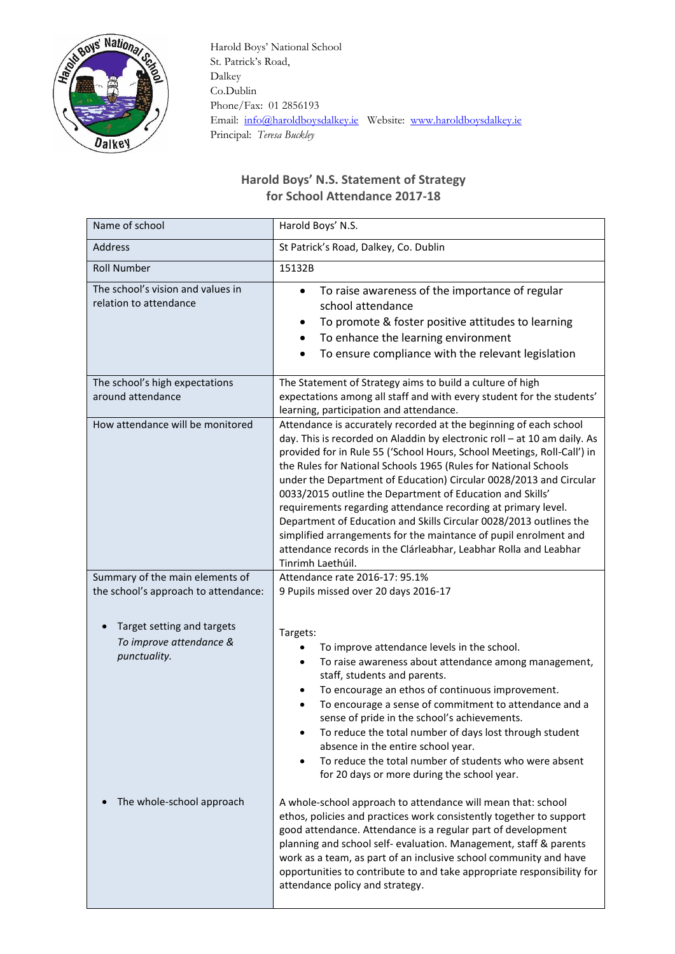

 Harold Boys' National School St. Patrick's Road, Dalkey Co.Dublin Phone/Fax: 01 2856193 Email: [info@haroldboysdalkey.ie](mailto:info@haroldboysdalkey.ie) Website: [www.haroldboysdalkey.ie](http://www.haroldboysdalkey.ie/) Principal: *Teresa Buckley*

## **Harold Boys' N.S. Statement of Strategy for School Attendance 2017-18**

| Name of school                                                        | Harold Boys' N.S.                                                                                                                                                                                                                                                                                                                                                                                                                                                                                                                                                                                                                                                                                                                  |
|-----------------------------------------------------------------------|------------------------------------------------------------------------------------------------------------------------------------------------------------------------------------------------------------------------------------------------------------------------------------------------------------------------------------------------------------------------------------------------------------------------------------------------------------------------------------------------------------------------------------------------------------------------------------------------------------------------------------------------------------------------------------------------------------------------------------|
| <b>Address</b>                                                        | St Patrick's Road, Dalkey, Co. Dublin                                                                                                                                                                                                                                                                                                                                                                                                                                                                                                                                                                                                                                                                                              |
| <b>Roll Number</b>                                                    | 15132B                                                                                                                                                                                                                                                                                                                                                                                                                                                                                                                                                                                                                                                                                                                             |
| The school's vision and values in<br>relation to attendance           | To raise awareness of the importance of regular<br>$\bullet$<br>school attendance<br>To promote & foster positive attitudes to learning<br>To enhance the learning environment<br>To ensure compliance with the relevant legislation                                                                                                                                                                                                                                                                                                                                                                                                                                                                                               |
| The school's high expectations<br>around attendance                   | The Statement of Strategy aims to build a culture of high<br>expectations among all staff and with every student for the students'<br>learning, participation and attendance.                                                                                                                                                                                                                                                                                                                                                                                                                                                                                                                                                      |
| How attendance will be monitored                                      | Attendance is accurately recorded at the beginning of each school<br>day. This is recorded on Aladdin by electronic roll - at 10 am daily. As<br>provided for in Rule 55 ('School Hours, School Meetings, Roll-Call') in<br>the Rules for National Schools 1965 (Rules for National Schools<br>under the Department of Education) Circular 0028/2013 and Circular<br>0033/2015 outline the Department of Education and Skills'<br>requirements regarding attendance recording at primary level.<br>Department of Education and Skills Circular 0028/2013 outlines the<br>simplified arrangements for the maintance of pupil enrolment and<br>attendance records in the Clárleabhar, Leabhar Rolla and Leabhar<br>Tinrimh Laethúil. |
| Summary of the main elements of                                       | Attendance rate 2016-17: 95.1%                                                                                                                                                                                                                                                                                                                                                                                                                                                                                                                                                                                                                                                                                                     |
| the school's approach to attendance:                                  | 9 Pupils missed over 20 days 2016-17                                                                                                                                                                                                                                                                                                                                                                                                                                                                                                                                                                                                                                                                                               |
| Target setting and targets<br>To improve attendance &<br>punctuality. | Targets:<br>To improve attendance levels in the school.<br>To raise awareness about attendance among management,<br>$\bullet$<br>staff, students and parents.<br>To encourage an ethos of continuous improvement.<br>٠<br>To encourage a sense of commitment to attendance and a<br>sense of pride in the school's achievements.<br>To reduce the total number of days lost through student<br>absence in the entire school year.<br>To reduce the total number of students who were absent<br>for 20 days or more during the school year.                                                                                                                                                                                         |
| The whole-school approach                                             | A whole-school approach to attendance will mean that: school<br>ethos, policies and practices work consistently together to support<br>good attendance. Attendance is a regular part of development<br>planning and school self- evaluation. Management, staff & parents<br>work as a team, as part of an inclusive school community and have<br>opportunities to contribute to and take appropriate responsibility for<br>attendance policy and strategy.                                                                                                                                                                                                                                                                         |